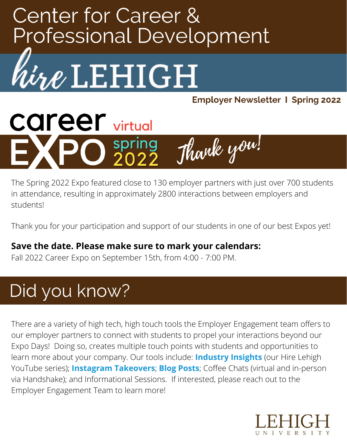# **Center for Career & Professional Development**



**Employer Newsletter 1 Spring 2022** 

**career** virtual Thank you! n spring

The Spring 2022 Expo featured close to 130 employer partners with just over 700 students in attendance, resulting in approximately 2800 interactions between employers and students!

Thank you for your participation and support of our students in one of our best Expos yet!

#### **Save the date. Please make sure to mark your calendars:**

Fall 2022 Career Expo on September 15th, from 4:00 - 7:00 PM.

## Did you know?

There are a variety of high tech, high touch tools the Employer Engagement team offers to our employer partners to connect with students to propel your interactions beyond our Expo Days! Doing so, creates multiple touch points with students and opportunities to learn more about your company. Our tools include: **[Industry](https://www.youtube.com/c/HireLehigh) Insights** (our Hire Lehigh YouTube series); **[Instagram](https://www.instagram.com/lehighcareercenter/) Takeovers**; **Blog [Posts](https://www.hirelehigh.com/)**; Coffee Chats (virtual and in-person via Handshake); and Informational Sessions. If interested, please reach out to the Employer Engagement Team to learn more!

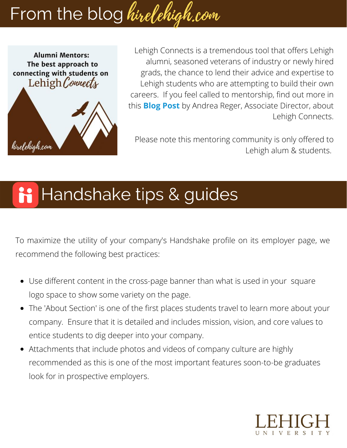# From the blog hirelehigh.com



Lehigh Connects is a tremendous tool that offers Lehigh alumni, seasoned veterans of industry or newly hired grads, the chance to lend their advice and expertise to Lehigh students who are attempting to build their own careers. If you feel called to mentorship, find out more in this **Blog [Post](https://www.hirelehigh.com/post/the-best-approach-to-connecting-with-students-on-lehigh-connects)** by Andrea Reger, Associate Director, about Lehigh Connects.

Please note this mentoring community is only offered to Lehigh alum & students.

#### Handshake tips & guides H

To maximize the utility of your company's Handshake profile on its employer page, we recommend the following best practices:

- Use different content in the cross-page banner than what is used in your square logo space to show some variety on the page.
- The 'About Section' is one of the first places students travel to learn more about your company. Ensure that it is detailed and includes mission, vision, and core values to entice students to dig deeper into your company.
- Attachments that include photos and videos of company culture are highly recommended as this is one of the most important features soon-to-be graduates look for in prospective employers.

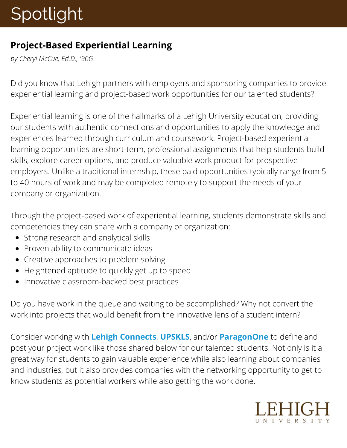## Spotlight

#### **Project-Based Experiential Learning**

*by Cheryl McCue, Ed.D., '90G*

Did you know that Lehigh partners with employers and sponsoring companies to provide experiential learning and project-based work opportunities for our talented students?

Experiential learning is one of the hallmarks of a Lehigh University education, providing our students with authentic connections and opportunities to apply the knowledge and experiences learned through curriculum and coursework. Project-based experiential learning opportunities are short-term, professional assignments that help students build skills, explore career options, and produce valuable work product for prospective employers. Unlike a traditional internship, these paid opportunities typically range from 5 to 40 hours of work and may be completed remotely to support the needs of your company or organization.

Through the project-based work of experiential learning, students demonstrate skills and competencies they can share with a company or organization:

- Strong research and analytical skills
- Proven ability to communicate ideas
- Creative approaches to problem solving
- Heightened aptitude to quickly get up to speed
- Innovative classroom-backed best practices

Do you have work in the queue and waiting to be accomplished? Why not convert the work into projects that would benefit from the innovative lens of a student intern?

Consider working wit[h](https://lehigh.peoplegrove.com/hub/lehigh-connects/projects/list/all-projects) **Lehigh [Connects](https://lehigh.peoplegrove.com/hub/lehigh-connects/projects/list/all-projects)**[,](https://upskls.com/hiring-manager/) **[UPSKLS](https://upskls.com/hiring-manager/)**, and/or **[ParagonOne](https://www.paragonone.com/companies)** to define and post your project work like those shared below for our talented students. Not only is it a great way for students to gain valuable experience while also learning about companies and industries, but it also provides companies with the networking opportunity to get to know students as potential workers while also getting the work done.